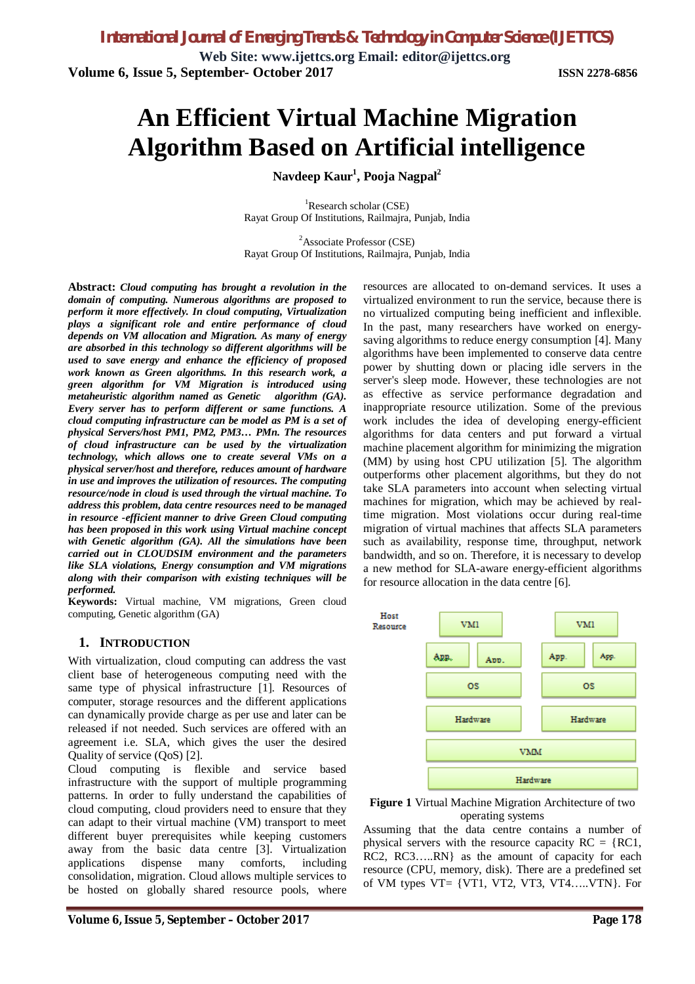**Web Site: [www.ijettcs.org](http://www.ijettcs.org) Email: [editor@ijettcs.org](mailto:editor@ijettcs.org) Volume 6, Issue 5, September- October 2017 ISSN 2278-6856**

# **An Efficient Virtual Machine Migration Algorithm Based on Artificial intelligence**

**Navdeep Kaur<sup>1</sup> , Pooja Nagpal<sup>2</sup>**

 ${}^{1}$ Research scholar (CSE) Rayat Group Of Institutions, Railmajra, Punjab, India

<sup>2</sup>Associate Professor (CSE) Rayat Group Of Institutions, Railmajra, Punjab, India

**Abstract:** *Cloud computing has brought a revolution in the domain of computing. Numerous algorithms are proposed to perform it more effectively. In cloud computing, Virtualization plays a significant role and entire performance of cloud depends on VM allocation and Migration. As many of energy are absorbed in this technology so different algorithms will be used to save energy and enhance the efficiency of proposed work known as Green algorithms. In this research work, a green algorithm for VM Migration is introduced using metaheuristic algorithm named as Genetic algorithm (GA). Every server has to perform different or same functions. A cloud computing infrastructure can be model as PM is a set of physical Servers/host PM1, PM2, PM3… PMn. The resources of cloud infrastructure can be used by the virtualization technology, which allows one to create several VMs on a physical server/host and therefore, reduces amount of hardware in use and improves the utilization of resources. The computing resource/node in cloud is used through the virtual machine. To address this problem, data centre resources need to be managed in resource -efficient manner to drive Green Cloud computing has been proposed in this work using Virtual machine concept with Genetic algorithm (GA). All the simulations have been carried out in CLOUDSIM environment and the parameters like SLA violations, Energy consumption and VM migrations along with their comparison with existing techniques will be performed.*

**Keywords:** Virtual machine, VM migrations, Green cloud computing, Genetic algorithm (GA)

#### **1. INTRODUCTION**

With virtualization, cloud computing can address the vast client base of heterogeneous computing need with the same type of physical infrastructure [1]. Resources of computer, storage resources and the different applications can dynamically provide charge as per use and later can be released if not needed. Such services are offered with an agreement i.e. SLA, which gives the user the desired Quality of service (QoS) [2].

Cloud computing is flexible and service based infrastructure with the support of multiple programming patterns. In order to fully understand the capabilities of cloud computing, cloud providers need to ensure that they can adapt to their virtual machine (VM) transport to meet different buyer prerequisites while keeping customers away from the basic data centre [3]. Virtualization applications dispense many comforts, including consolidation, migration. Cloud allows multiple services to be hosted on globally shared resource pools, where

resources are allocated to on-demand services. It uses a virtualized environment to run the service, because there is no virtualized computing being inefficient and inflexible. In the past, many researchers have worked on energysaving algorithms to reduce energy consumption [4]. Many algorithms have been implemented to conserve data centre power by shutting down or placing idle servers in the server's sleep mode. However, these technologies are not as effective as service performance degradation and inappropriate resource utilization. Some of the previous work includes the idea of developing energy-efficient algorithms for data centers and put forward a virtual machine placement algorithm for minimizing the migration (MM) by using host CPU utilization [5]. The algorithm outperforms other placement algorithms, but they do not take SLA parameters into account when selecting virtual machines for migration, which may be achieved by realtime migration. Most violations occur during real-time migration of virtual machines that affects SLA parameters such as availability, response time, throughput, network bandwidth, and so on. Therefore, it is necessary to develop a new method for SLA-aware energy-efficient algorithms for resource allocation in the data centre [6].





Assuming that the data centre contains a number of physical servers with the resource capacity  $RC = \{RC1,$ RC2, RC3…..RN} as the amount of capacity for each resource (CPU, memory, disk). There are a predefined set of VM types  $VT = \{VT1, VT2, VT3, VT4, \ldots, VTN\}$ . For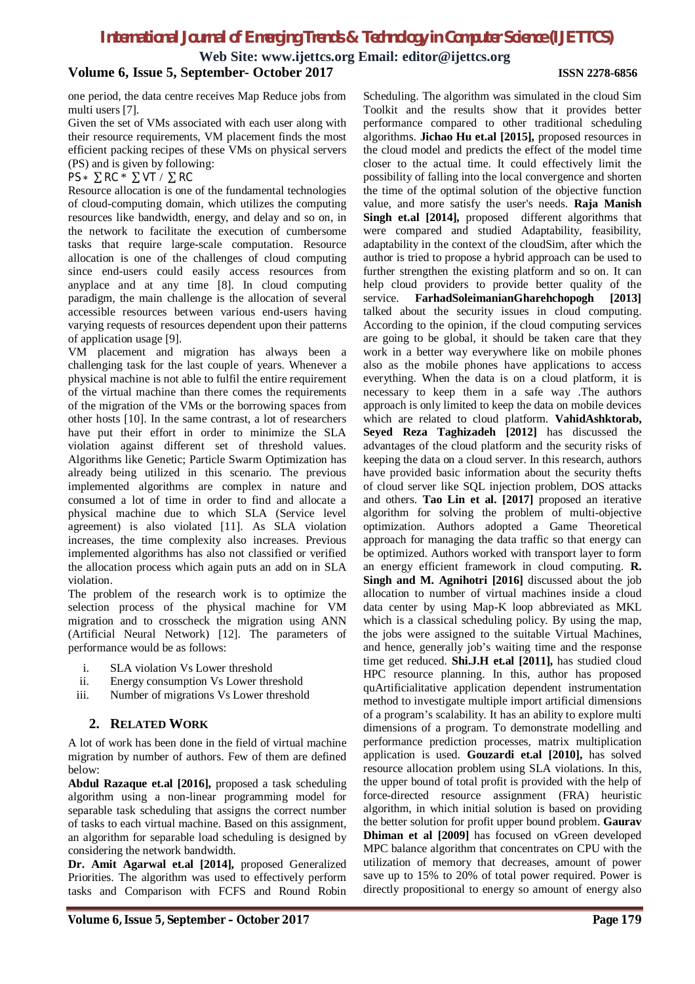**Web Site: [www.ijettcs.org](http://www.ijettcs.org) Email: [editor@ijettcs.org](mailto:editor@ijettcs.org)**

#### **Volume 6, Issue 5, September- October 2017 ISSN 2278-6856**

one period, the data centre receives Map Reduce jobs from multi users [7].

Given the set of VMs associated with each user along with their resource requirements, VM placement finds the most efficient packing recipes of these VMs on physical servers (PS) and is given by following:

#### $PS * \Sigma RC * \Sigma VT / \Sigma RC$

Resource allocation is one of the fundamental technologies of cloud-computing domain, which utilizes the computing resources like bandwidth, energy, and delay and so on, in the network to facilitate the execution of cumbersome tasks that require large-scale computation. Resource allocation is one of the challenges of cloud computing since end-users could easily access resources from anyplace and at any time [8]. In cloud computing paradigm, the main challenge is the allocation of several accessible resources between various end-users having varying requests of resources dependent upon their patterns of application usage [9].

VM placement and migration has always been a challenging task for the last couple of years. Whenever a physical machine is not able to fulfil the entire requirement of the virtual machine than there comes the requirements of the migration of the VMs or the borrowing spaces from other hosts [10]. In the same contrast, a lot of researchers have put their effort in order to minimize the SLA violation against different set of threshold values. Algorithms like Genetic; Particle Swarm Optimization has already being utilized in this scenario. The previous implemented algorithms are complex in nature and consumed a lot of time in order to find and allocate a physical machine due to which SLA (Service level agreement) is also violated [11]. As SLA violation increases, the time complexity also increases. Previous implemented algorithms has also not classified or verified the allocation process which again puts an add on in SLA violation.

The problem of the research work is to optimize the selection process of the physical machine for VM migration and to crosscheck the migration using ANN (Artificial Neural Network) [12]. The parameters of performance would be as follows:

- i. SLA violation Vs Lower threshold
- ii. Energy consumption Vs Lower threshold
- iii. Number of migrations Vs Lower threshold

#### **2. RELATED WORK**

A lot of work has been done in the field of virtual machine migration by number of authors. Few of them are defined below:

**Abdul Razaque et.al [2016],** proposed a task scheduling algorithm using a non-linear programming model for separable task scheduling that assigns the correct number of tasks to each virtual machine. Based on this assignment, an algorithm for separable load scheduling is designed by considering the network bandwidth.

**Dr. Amit Agarwal et.al [2014],** proposed Generalized Priorities. The algorithm was used to effectively perform tasks and Comparison with FCFS and Round Robin

Scheduling. The algorithm was simulated in the cloud Sim Toolkit and the results show that it provides better performance compared to other traditional scheduling algorithms. **Jichao Hu et.al [2015],** proposed resources in the cloud model and predicts the effect of the model time closer to the actual time. It could effectively limit the possibility of falling into the local convergence and shorten the time of the optimal solution of the objective function value, and more satisfy the user's needs. **Raja Manish Singh et.al [2014],** proposed different algorithms that were compared and studied Adaptability, feasibility, adaptability in the context of the cloudSim, after which the author is tried to propose a hybrid approach can be used to further strengthen the existing platform and so on. It can help cloud providers to provide better quality of the service. **FarhadSoleimanianGharehchopogh [2013]**  talked about the security issues in cloud computing. According to the opinion, if the cloud computing services are going to be global, it should be taken care that they work in a better way everywhere like on mobile phones also as the mobile phones have applications to access everything. When the data is on a cloud platform, it is necessary to keep them in a safe way .The authors approach is only limited to keep the data on mobile devices which are related to cloud platform. **VahidAshktorab, Seyed Reza Taghizadeh [2012]** has discussed the advantages of the cloud platform and the security risks of keeping the data on a cloud server. In this research, authors have provided basic information about the security thefts of cloud server like SQL injection problem, DOS attacks and others. **Tao Lin et al. [2017]** proposed an iterative algorithm for solving the problem of multi-objective optimization. Authors adopted a Game Theoretical approach for managing the data traffic so that energy can be optimized. Authors worked with transport layer to form an energy efficient framework in cloud computing. **R. Singh and M. Agnihotri [2016]** discussed about the job allocation to number of virtual machines inside a cloud data center by using Map-K loop abbreviated as MKL which is a classical scheduling policy. By using the map, the jobs were assigned to the suitable Virtual Machines, and hence, generally job's waiting time and the response time get reduced. **Shi.J.H et.al [2011],** has studied cloud HPC resource planning. In this, author has proposed quArtificialitative application dependent instrumentation method to investigate multiple import artificial dimensions of a program's scalability. It has an ability to explore multi dimensions of a program. To demonstrate modelling and performance prediction processes, matrix multiplication application is used. **Gouzardi et.al [2010],** has solved resource allocation problem using SLA violations. In this, the upper bound of total profit is provided with the help of force-directed resource assignment (FRA) heuristic algorithm, in which initial solution is based on providing the better solution for profit upper bound problem. **Gaurav Dhiman et al [2009]** has focused on vGreen developed MPC balance algorithm that concentrates on CPU with the utilization of memory that decreases, amount of power save up to 15% to 20% of total power required. Power is directly propositional to energy so amount of energy also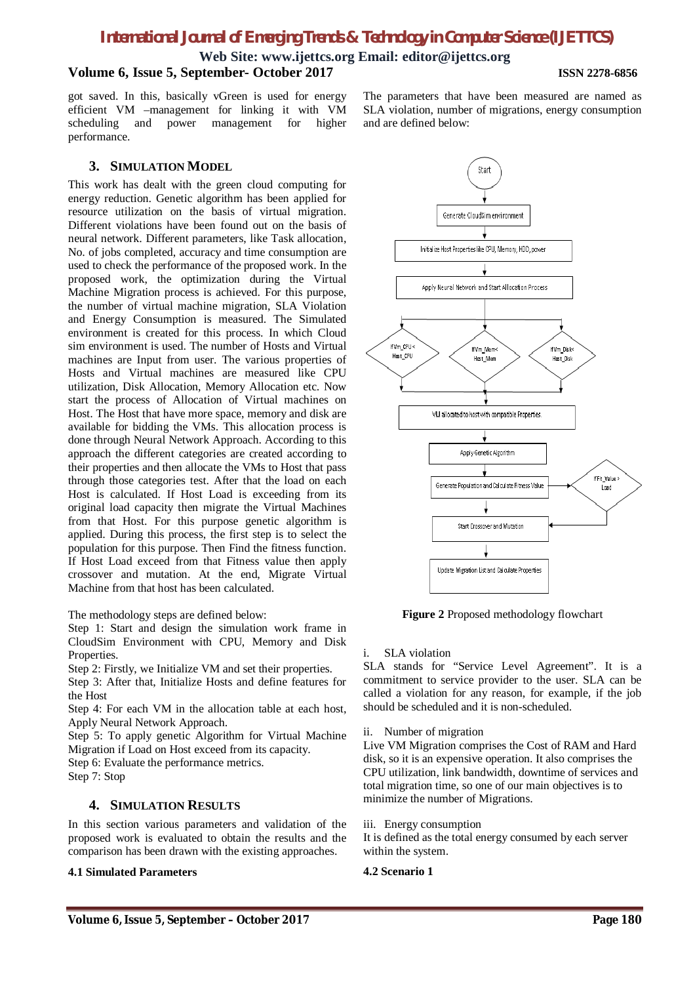**Web Site: [www.ijettcs.org](http://www.ijettcs.org) Email: [editor@ijettcs.org](mailto:editor@ijettcs.org) Volume 6, Issue 5, September- October 2017 ISSN 2278-6856**

got saved. In this, basically vGreen is used for energy efficient VM –management for linking it with VM scheduling and power management for higher performance.

#### **3. SIMULATION MODEL**

This work has dealt with the green cloud computing for energy reduction. Genetic algorithm has been applied for resource utilization on the basis of virtual migration. Different violations have been found out on the basis of neural network. Different parameters, like Task allocation, No. of jobs completed, accuracy and time consumption are used to check the performance of the proposed work. In the proposed work, the optimization during the Virtual Machine Migration process is achieved. For this purpose, the number of virtual machine migration, SLA Violation and Energy Consumption is measured. The Simulated environment is created for this process. In which Cloud sim environment is used. The number of Hosts and Virtual machines are Input from user. The various properties of Hosts and Virtual machines are measured like CPU utilization, Disk Allocation, Memory Allocation etc. Now start the process of Allocation of Virtual machines on Host. The Host that have more space, memory and disk are available for bidding the VMs. This allocation process is done through Neural Network Approach. According to this approach the different categories are created according to their properties and then allocate the VMs to Host that pass through those categories test. After that the load on each Host is calculated. If Host Load is exceeding from its original load capacity then migrate the Virtual Machines from that Host. For this purpose genetic algorithm is applied. During this process, the first step is to select the population for this purpose. Then Find the fitness function. If Host Load exceed from that Fitness value then apply crossover and mutation. At the end, Migrate Virtual Machine from that host has been calculated.

The methodology steps are defined below:

Step 1: Start and design the simulation work frame in CloudSim Environment with CPU, Memory and Disk Properties.

Step 2: Firstly, we Initialize VM and set their properties.

Step 3: After that, Initialize Hosts and define features for the Host

Step 4: For each VM in the allocation table at each host, Apply Neural Network Approach.

Step 5: To apply genetic Algorithm for Virtual Machine Migration if Load on Host exceed from its capacity.

Step 6: Evaluate the performance metrics.

Step 7: Stop

#### **4. SIMULATION RESULTS**

In this section various parameters and validation of the proposed work is evaluated to obtain the results and the comparison has been drawn with the existing approaches.

#### **4.1 Simulated Parameters**





**Figure 2** Proposed methodology flowchart

i. SLA violation

SLA stands for "Service Level Agreement". It is a commitment to service provider to the user. SLA can be called a violation for any reason, for example, if the job should be scheduled and it is non-scheduled.

ii. Number of migration

Live VM Migration comprises the Cost of RAM and Hard disk, so it is an expensive operation. It also comprises the CPU utilization, link bandwidth, downtime of services and total migration time, so one of our main objectives is to minimize the number of Migrations.

#### iii. Energy consumption

It is defined as the total energy consumed by each server within the system.

#### **4.2 Scenario 1**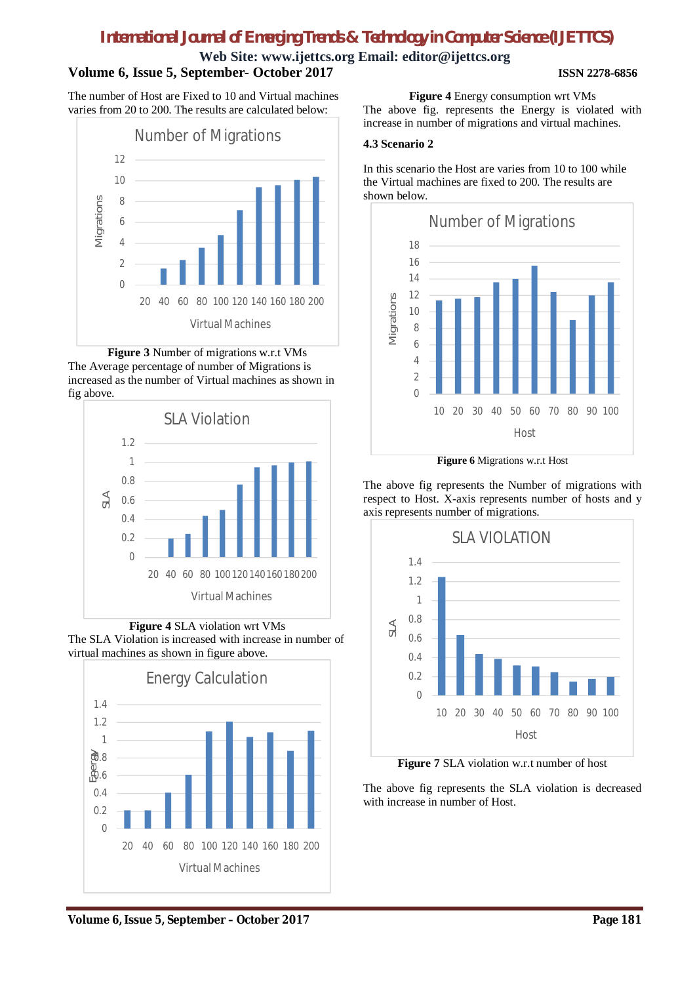#### **Web Site: [www.ijettcs.org](http://www.ijettcs.org) Email: [editor@ijettcs.org](mailto:editor@ijettcs.org) Volume 6, Issue 5, September- October 2017 ISSN 2278-6856**

The number of Host are Fixed to 10 and Virtual machines varies from 20 to 200. The results are calculated below:







**Figure 4** SLA violation wrt VMs The SLA Violation is increased with increase in number of virtual machines as shown in figure above.



**Figure 4** Energy consumption wrt VMs

The above fig. represents the Energy is violated with increase in number of migrations and virtual machines.

### **4.3 Scenario 2**

In this scenario the Host are varies from 10 to 100 while the Virtual machines are fixed to 200. The results are shown below.



**Figure 6** Migrations w.r.t Host

The above fig represents the Number of migrations with respect to Host. X-axis represents number of hosts and y axis represents number of migrations.



**Figure 7** SLA violation w.r.t number of host

The above fig represents the SLA violation is decreased with increase in number of Host.

# **Volume 6, Issue 5, September – October 2017 Page 181**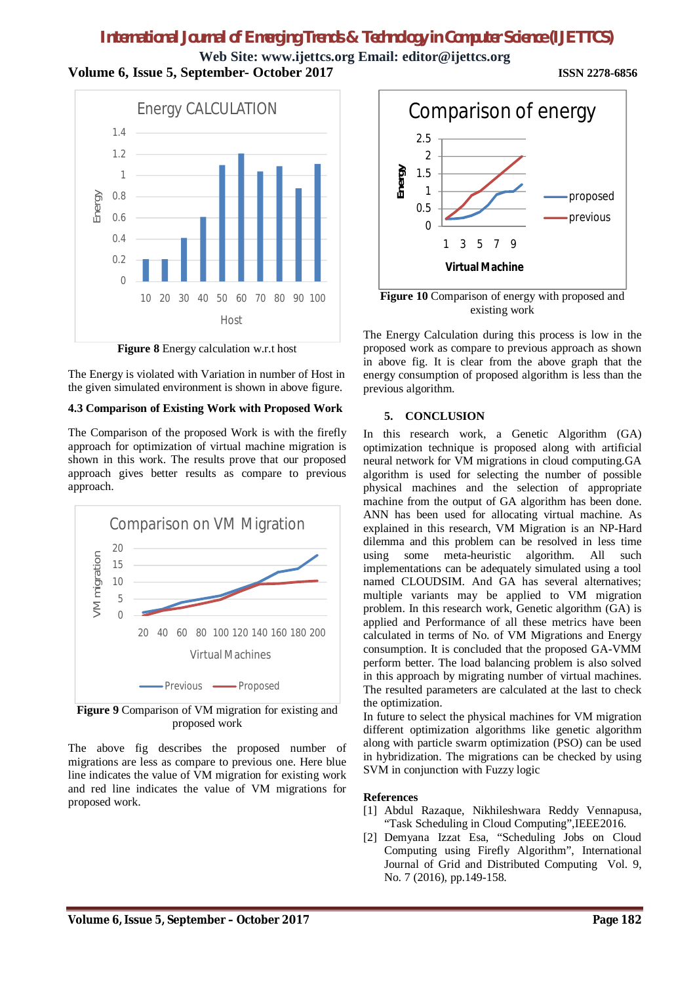**Web Site: [www.ijettcs.org](http://www.ijettcs.org) Email: [editor@ijettcs.org](mailto:editor@ijettcs.org) Volume 6, Issue 5, September- October 2017 ISSN 2278-6856**



**Figure 8** Energy calculation w.r.t host

The Energy is violated with Variation in number of Host in the given simulated environment is shown in above figure.

#### **4.3 Comparison of Existing Work with Proposed Work**

The Comparison of the proposed Work is with the firefly approach for optimization of virtual machine migration is shown in this work. The results prove that our proposed approach gives better results as compare to previous approach.



**Figure 9** Comparison of VM migration for existing and proposed work

The above fig describes the proposed number of migrations are less as compare to previous one. Here blue line indicates the value of VM migration for existing work and red line indicates the value of VM migrations for proposed work.



**Figure 10** Comparison of energy with proposed and existing work

The Energy Calculation during this process is low in the proposed work as compare to previous approach as shown in above fig. It is clear from the above graph that the energy consumption of proposed algorithm is less than the previous algorithm.

#### **5. CONCLUSION**

In this research work, a Genetic Algorithm (GA) optimization technique is proposed along with artificial neural network for VM migrations in cloud computing.GA algorithm is used for selecting the number of possible physical machines and the selection of appropriate machine from the output of GA algorithm has been done. ANN has been used for allocating virtual machine. As explained in this research, VM Migration is an NP-Hard dilemma and this problem can be resolved in less time using some meta-heuristic algorithm. All such implementations can be adequately simulated using a tool named CLOUDSIM. And GA has several alternatives; multiple variants may be applied to VM migration problem. In this research work, Genetic algorithm (GA) is applied and Performance of all these metrics have been calculated in terms of No. of VM Migrations and Energy consumption. It is concluded that the proposed GA-VMM perform better. The load balancing problem is also solved in this approach by migrating number of virtual machines. The resulted parameters are calculated at the last to check the optimization.

In future to select the physical machines for VM migration different optimization algorithms like genetic algorithm along with particle swarm optimization (PSO) can be used in hybridization. The migrations can be checked by using SVM in conjunction with Fuzzy logic

#### **References**

- [1] Abdul Razaque, Nikhileshwara Reddy Vennapusa, "Task Scheduling in Cloud Computing",IEEE2016.
- [2] Demyana Izzat Esa, "Scheduling Jobs on Cloud Computing using Firefly Algorithm", International Journal of Grid and Distributed Computing Vol. 9, No. 7 (2016), pp.149-158.